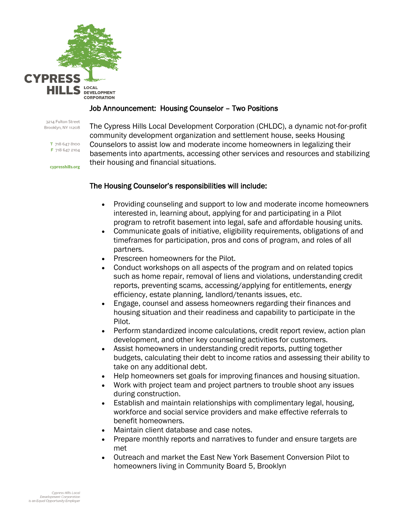

#### Job Announcement: Housing Counselor – Two Positions

3214 Fulton Street Brooklyn, NY 11208

> T 718 647 8100 F 718 647 2104

cvpresshills.org

The Cypress Hills Local Development Corporation (CHLDC), a dynamic not-for-profit community development organization and settlement house, seeks Housing Counselors to assist low and moderate income homeowners in legalizing their basements into apartments, accessing other services and resources and stabilizing their housing and financial situations.

#### The Housing Counselor's responsibilities will include:

- Providing counseling and support to low and moderate income homeowners interested in, learning about, applying for and participating in a Pilot program to retrofit basement into legal, safe and affordable housing units.
- Communicate goals of initiative, eligibility requirements, obligations of and timeframes for participation, pros and cons of program, and roles of all partners.
- Prescreen homeowners for the Pilot.
- Conduct workshops on all aspects of the program and on related topics such as home repair, removal of liens and violations, understanding credit reports, preventing scams, accessing/applying for entitlements, energy efficiency, estate planning, landlord/tenants issues, etc.
- Engage, counsel and assess homeowners regarding their finances and housing situation and their readiness and capability to participate in the Pilot.
- Perform standardized income calculations, credit report review, action plan development, and other key counseling activities for customers.
- Assist homeowners in understanding credit reports, putting together budgets, calculating their debt to income ratios and assessing their ability to take on any additional debt.
- Help homeowners set goals for improving finances and housing situation.
- Work with project team and project partners to trouble shoot any issues during construction.
- Establish and maintain relationships with complimentary legal, housing, workforce and social service providers and make effective referrals to benefit homeowners.
- Maintain client database and case notes.
- Prepare monthly reports and narratives to funder and ensure targets are met
- Outreach and market the East New York Basement Conversion Pilot to homeowners living in Community Board 5, Brooklyn